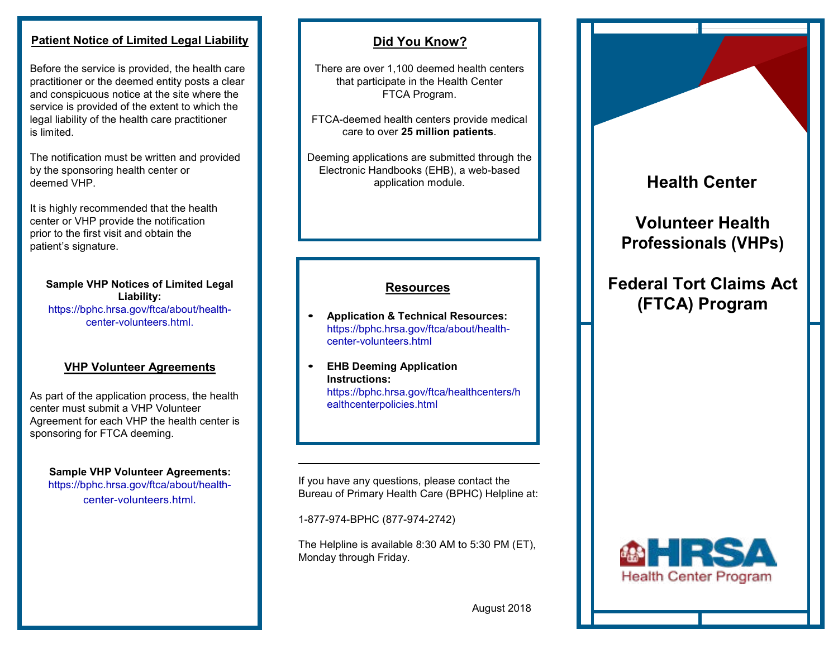### **Patient Notice of Limited Legal Liability**

Before the service is provided, the health care practitioner or the deemed entity posts a clear and conspicuous notice at the site where the service is provided of the extent to which the legal liability of the health care practitioner is limited.

The notification must be written and provided by the sponsoring health center or deemed VHP.

It is highly recommended that the health center or VHP provide the notification prior to the first visit and obtain the patient's signature.

**Sample VHP Notices of Limited Legal Liability:**  [https://bphc.hrsa.gov/ftca/about/health](https://bphc.hrsa.gov/ftca/about/health-center-volunteers.html)center-volunteers.html.

#### **VHP Volunteer Agreements**

As part of the application process, the health center must submit a VHP Volunteer Agreement for each VHP the health center is sponsoring for FTCA deeming.

**Sample VHP Volunteer Agreements:** [https://bphc.hrsa.gov/ftca/about/health](https://bphc.hrsa.gov/ftca/about/health-center-volunteers.html)center-volunteers.html.

## **Did You Know?**

There are over 1,100 deemed health centers that participate in the Health Center FTCA Program.

FTCA-deemed health centers provide medical care to over **25 million patients**.

Deeming applications are submitted through the Electronic Handbooks (EHB), a web-based application module.

### **Resources**

- **• Application & Technical Resources:** [https://bphc.hrsa.gov/ftca/about/health](https://bphc.hrsa.gov/ftca/about/health-center-volunteers.html)center-volunteers.html
- **• EHB Deeming Application Instructions:** [https://bphc.hrsa.gov/ftca/healthcenters/h](https://bphc.hrsa.gov/ftca/healthcenters/healthcenterpolicies.html) ealthcenterpolicies.html

If you have any questions, please contact the Bureau of Primary Health Care (BPHC) Helpline at:

1-877-974-BPHC (877-974-2742)

The Helpline is available 8:30 AM to 5:30 PM (ET), Monday through Friday.





August 2018